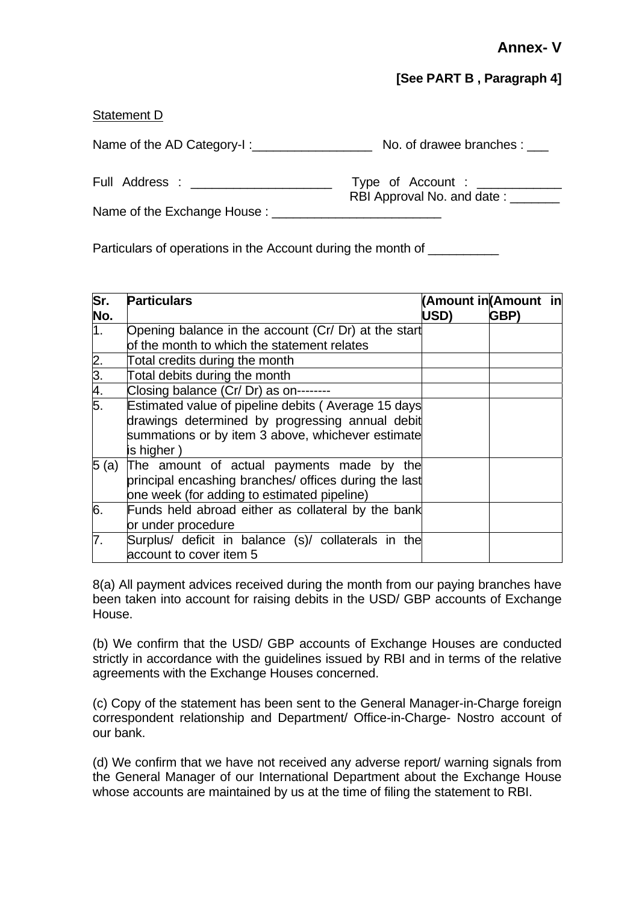## **[See PART B , Paragraph 4]**

## Statement D

Name of the AD Category-I :\_\_\_\_\_\_\_\_\_\_\_\_\_\_\_\_\_ No. of drawee branches : \_\_\_

Full Address : \_\_\_\_\_\_\_\_\_\_\_\_\_\_\_\_\_\_\_\_ Type of Account : \_\_\_\_\_\_\_\_\_\_\_\_ RBI Approval No. and date:

Name of the Exchange House :

Particulars of operations in the Account during the month of

| $\overline{\mathsf{Sr.}}$<br>No.    | <b>Particulars</b>                                    | (Amount in (Amount in<br>USD) | GBP) |  |
|-------------------------------------|-------------------------------------------------------|-------------------------------|------|--|
| 1.                                  | Opening balance in the account (Cr/ Dr) at the start  |                               |      |  |
|                                     | of the month to which the statement relates           |                               |      |  |
|                                     | Total credits during the month                        |                               |      |  |
|                                     | Total debits during the month                         |                               |      |  |
| $\frac{2.}{3.4}$<br>$\frac{4.}{5.}$ | Closing balance (Cr/ Dr) as on--------                |                               |      |  |
|                                     | Estimated value of pipeline debits (Average 15 days   |                               |      |  |
|                                     | drawings determined by progressing annual debit       |                               |      |  |
|                                     | summations or by item 3 above, whichever estimate     |                               |      |  |
|                                     | is higher)                                            |                               |      |  |
| 5(a)                                | The amount of actual payments made by the             |                               |      |  |
|                                     | principal encashing branches/ offices during the last |                               |      |  |
|                                     | one week (for adding to estimated pipeline)           |                               |      |  |
| 6.                                  | Funds held abroad either as collateral by the bank    |                               |      |  |
|                                     | or under procedure                                    |                               |      |  |
| 7.                                  | Surplus/ deficit in balance (s)/ collaterals in the   |                               |      |  |
|                                     | account to cover item 5                               |                               |      |  |

8(a) All payment advices received during the month from our paying branches have been taken into account for raising debits in the USD/ GBP accounts of Exchange House.

(b) We confirm that the USD/ GBP accounts of Exchange Houses are conducted strictly in accordance with the guidelines issued by RBI and in terms of the relative agreements with the Exchange Houses concerned.

(c) Copy of the statement has been sent to the General Manager-in-Charge foreign correspondent relationship and Department/ Office-in-Charge- Nostro account of our bank.

(d) We confirm that we have not received any adverse report/ warning signals from the General Manager of our International Department about the Exchange House whose accounts are maintained by us at the time of filing the statement to RBI.

30